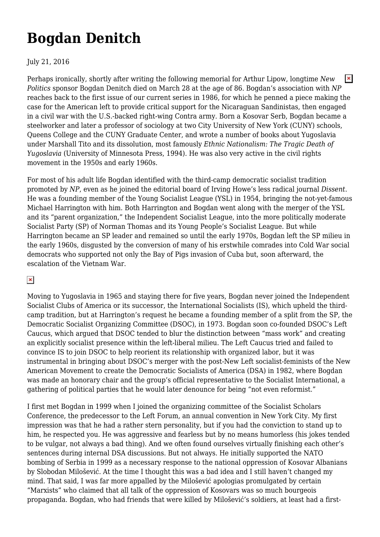## **[Bogdan Denitch](https://newpol.org/issue_post/bogdan-denitch/)**

## July 21, 2016

 $\pmb{\times}$ Perhaps ironically, shortly after writing the following memorial for Arthur Lipow, longtime *New Politics* sponsor Bogdan Denitch died on March 28 at the age of 86. Bogdan's association with *NP* reaches back to the first issue of our current series in 1986, for which he penned a piece making the case for the American left to provide critical support for the Nicaraguan Sandinistas, then engaged in a civil war with the U.S.-backed right-wing Contra army. Born a Kosovar Serb, Bogdan became a steelworker and later a professor of sociology at two City University of New York (CUNY) schools, Queens College and the CUNY Graduate Center, and wrote a number of books about Yugoslavia under Marshall Tito and its dissolution, most famously *Ethnic Nationalism: The Tragic Death of Yugoslavia* (University of Minnesota Press, 1994). He was also very active in the civil rights movement in the 1950s and early 1960s.

For most of his adult life Bogdan identified with the third-camp democratic socialist tradition promoted by *NP*, even as he joined the editorial board of Irving Howe's less radical journal *Dissent*. He was a founding member of the Young Socialist League (YSL) in 1954, bringing the not-yet-famous Michael Harrington with him. Both Harrington and Bogdan went along with the merger of the YSL and its "parent organization," the Independent Socialist League, into the more politically moderate Socialist Party (SP) of Norman Thomas and its Young People's Socialist League. But while Harrington became an SP leader and remained so until the early 1970s, Bogdan left the SP milieu in the early 1960s, disgusted by the conversion of many of his erstwhile comrades into Cold War social democrats who supported not only the Bay of Pigs invasion of Cuba but, soon afterward, the escalation of the Vietnam War.

## $\pmb{\times}$

Moving to Yugoslavia in 1965 and staying there for five years, Bogdan never joined the Independent Socialist Clubs of America or its successor, the International Socialists (IS), which upheld the thirdcamp tradition, but at Harrington's request he became a founding member of a split from the SP, the Democratic Socialist Organizing Committee (DSOC), in 1973. Bogdan soon co-founded DSOC's Left Caucus, which argued that DSOC tended to blur the distinction between "mass work" and creating an explicitly socialist presence within the left-liberal milieu. The Left Caucus tried and failed to convince IS to join DSOC to help reorient its relationship with organized labor, but it was instrumental in bringing about DSOC's merger with the post-New Left socialist-feminists of the New American Movement to create the Democratic Socialists of America (DSA) in 1982, where Bogdan was made an honorary chair and the group's official representative to the Socialist International, a gathering of political parties that he would later denounce for being "not even reformist."

I first met Bogdan in 1999 when I joined the organizing committee of the Socialist Scholars Conference, the predecessor to the Left Forum, an annual convention in New York City. My first impression was that he had a rather stern personality, but if you had the conviction to stand up to him, he respected you. He was aggressive and fearless but by no means humorless (his jokes tended to be vulgar, not always a bad thing). And we often found ourselves virtually finishing each other's sentences during internal DSA discussions. But not always. He initially supported the NATO bombing of Serbia in 1999 as a necessary response to the national oppression of Kosovar Albanians by Slobodan Milošević. At the time I thought this was a bad idea and I still haven't changed my mind. That said, I was far more appalled by the Milošević apologias promulgated by certain "Marxists" who claimed that all talk of the oppression of Kosovars was so much bourgeois propaganda. Bogdan, who had friends that were killed by Milošević's soldiers, at least had a first